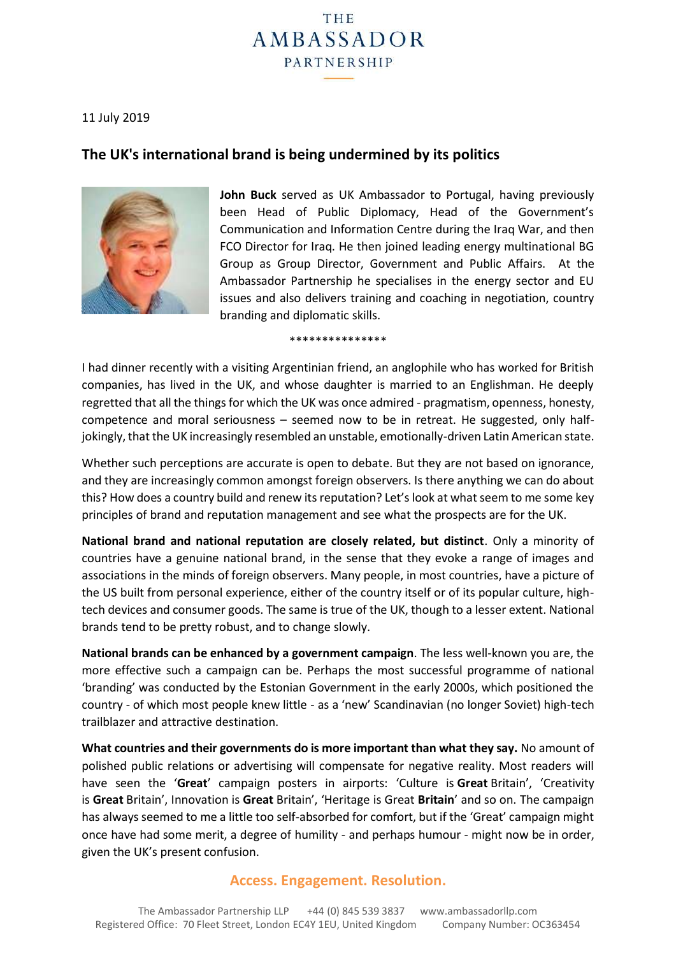# THE **AMBASSADOR** PARTNERSHIP

#### 11 July 2019

## **The UK's international brand is being undermined by its politics**



**John Buck** served as UK Ambassador to Portugal, having previously been Head of Public Diplomacy, Head of the Government's Communication and Information Centre during the Iraq War, and then FCO Director for Iraq. He then joined leading energy multinational BG Group as Group Director, Government and Public Affairs. At the Ambassador Partnership he specialises in the energy sector and EU issues and also delivers training and coaching in negotiation, country branding and diplomatic skills.

\*\*\*\*\*\*\*\*\*\*\*\*\*\*\*

I had dinner recently with a visiting Argentinian friend, an anglophile who has worked for British companies, has lived in the UK, and whose daughter is married to an Englishman. He deeply regretted that all the things for which the UK was once admired - pragmatism, openness, honesty, competence and moral seriousness – seemed now to be in retreat. He suggested, only halfjokingly, that the UK increasingly resembled an unstable, emotionally-driven Latin American state.

Whether such perceptions are accurate is open to debate. But they are not based on ignorance, and they are increasingly common amongst foreign observers. Is there anything we can do about this? How does a country build and renew its reputation? Let's look at what seem to me some key principles of brand and reputation management and see what the prospects are for the UK.

**National brand and national reputation are closely related, but distinct**. Only a minority of countries have a genuine national brand, in the sense that they evoke a range of images and associations in the minds of foreign observers. Many people, in most countries, have a picture of the US built from personal experience, either of the country itself or of its popular culture, hightech devices and consumer goods. The same is true of the UK, though to a lesser extent. National brands tend to be pretty robust, and to change slowly.

**National brands can be enhanced by a government campaign**. The less well-known you are, the more effective such a campaign can be. Perhaps the most successful programme of national 'branding' was conducted by the Estonian Government in the early 2000s, which positioned the country - of which most people knew little - as a 'new' Scandinavian (no longer Soviet) high-tech trailblazer and attractive destination.

**What countries and their governments do is more important than what they say.** No amount of polished public relations or advertising will compensate for negative reality. Most readers will have seen the '**Great**' campaign posters in airports: 'Culture is **Great** Britain', 'Creativity is **Great** Britain', Innovation is **Great** Britain', 'Heritage is Great **Britain**' and so on. The campaign has always seemed to me a little too self-absorbed for comfort, but if the 'Great' campaign might once have had some merit, a degree of humility - and perhaps humour - might now be in order, given the UK's present confusion.

## **Access. Engagement. Resolution.**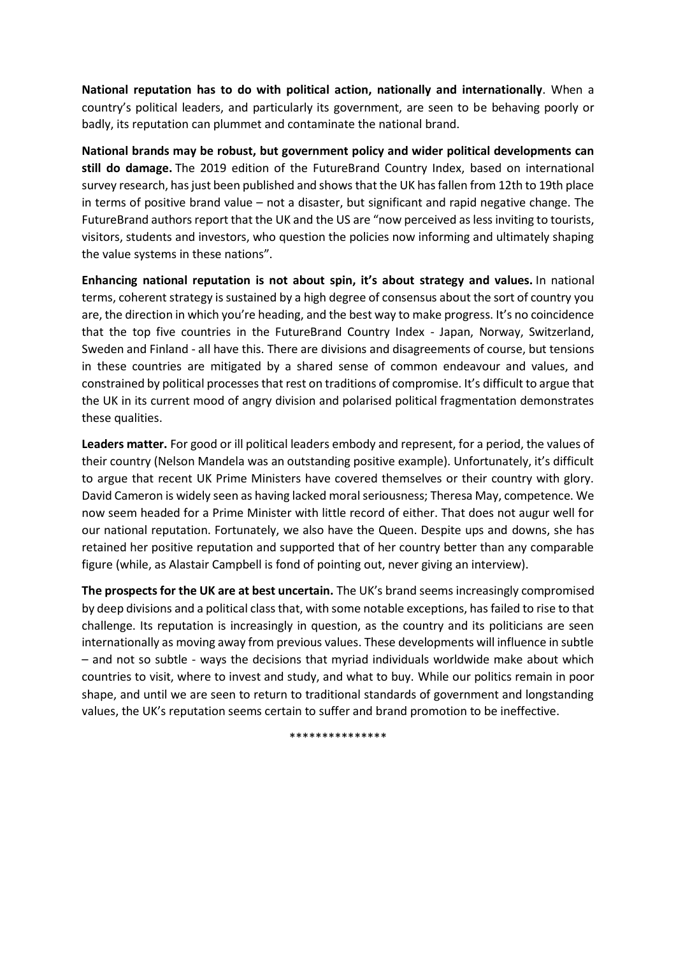**National reputation has to do with political action, nationally and internationally**. When a country's political leaders, and particularly its government, are seen to be behaving poorly or badly, its reputation can plummet and contaminate the national brand.

**National brands may be robust, but government policy and wider political developments can still do damage.** The 2019 edition of the FutureBrand Country Index, based on international survey research, has just been published and shows that the UK has fallen from 12th to 19th place in terms of positive brand value – not a disaster, but significant and rapid negative change. The FutureBrand authors report that the UK and the US are "now perceived as less inviting to tourists, visitors, students and investors, who question the policies now informing and ultimately shaping the value systems in these nations".

**Enhancing national reputation is not about spin, it's about strategy and values.** In national terms, coherent strategy is sustained by a high degree of consensus about the sort of country you are, the direction in which you're heading, and the best way to make progress. It's no coincidence that the top five countries in the FutureBrand Country Index - Japan, Norway, Switzerland, Sweden and Finland - all have this. There are divisions and disagreements of course, but tensions in these countries are mitigated by a shared sense of common endeavour and values, and constrained by political processes that rest on traditions of compromise. It's difficult to argue that the UK in its current mood of angry division and polarised political fragmentation demonstrates these qualities.

**Leaders matter.** For good or ill political leaders embody and represent, for a period, the values of their country (Nelson Mandela was an outstanding positive example). Unfortunately, it's difficult to argue that recent UK Prime Ministers have covered themselves or their country with glory. David Cameron is widely seen as having lacked moral seriousness; Theresa May, competence. We now seem headed for a Prime Minister with little record of either. That does not augur well for our national reputation. Fortunately, we also have the Queen. Despite ups and downs, she has retained her positive reputation and supported that of her country better than any comparable figure (while, as Alastair Campbell is fond of pointing out, never giving an interview).

**The prospects for the UK are at best uncertain.** The UK's brand seems increasingly compromised by deep divisions and a political class that, with some notable exceptions, has failed to rise to that challenge. Its reputation is increasingly in question, as the country and its politicians are seen internationally as moving away from previous values. These developments will influence in subtle – and not so subtle - ways the decisions that myriad individuals worldwide make about which countries to visit, where to invest and study, and what to buy. While our politics remain in poor shape, and until we are seen to return to traditional standards of government and longstanding values, the UK's reputation seems certain to suffer and brand promotion to be ineffective.

\*\*\*\*\*\*\*\*\*\*\*\*\*\*\*